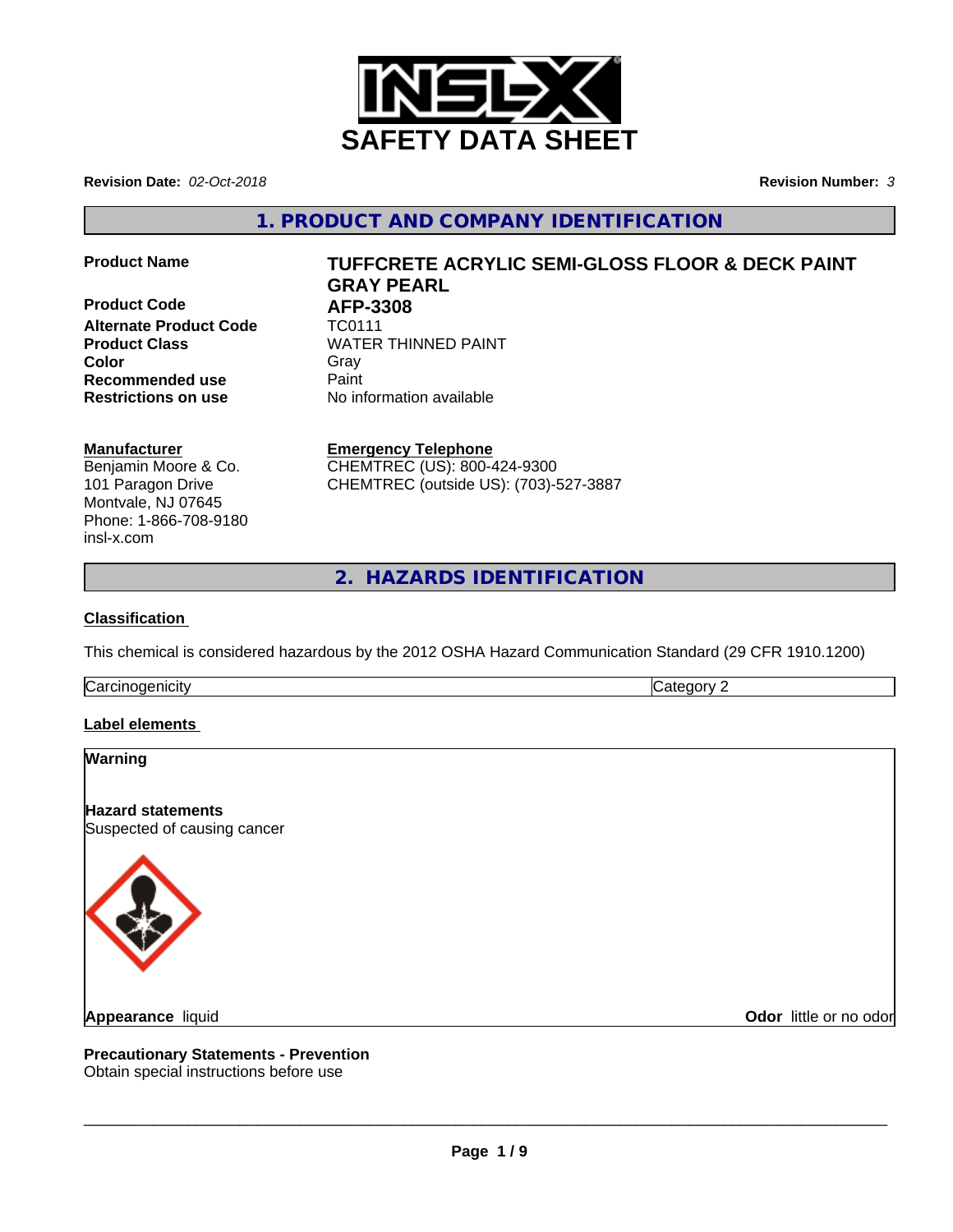

**Revision Date:** *02-Oct-2018* **Revision Number:** *3*

**1. PRODUCT AND COMPANY IDENTIFICATION**

**Product Code 61 AFP-3308**<br>Alternate Product Code 61 TC0111 **Alternate Product Code Recommended use** Paint **Restrictions on use** No information available

# **Product Name TUFFCRETE ACRYLIC SEMI-GLOSS FLOOR & DECK PAINT GRAY PEARL**

**Product Class WATER THINNED PAINT Color** Gray Gray

## **Manufacturer**

Benjamin Moore & Co. 101 Paragon Drive Montvale, NJ 07645 Phone: 1-866-708-9180 insl-x.com

**Emergency Telephone** CHEMTREC (US): 800-424-9300 CHEMTREC (outside US): (703)-527-3887

**2. HAZARDS IDENTIFICATION**

## **Classification**

This chemical is considered hazardous by the 2012 OSHA Hazard Communication Standard (29 CFR 1910.1200)

**Carcinogenicity** Category 2

# **Label elements**

# **Warning**

**Hazard statements** Suspected of causing cancer



**Odor** little or no odor

**Precautionary Statements - Prevention**

Obtain special instructions before use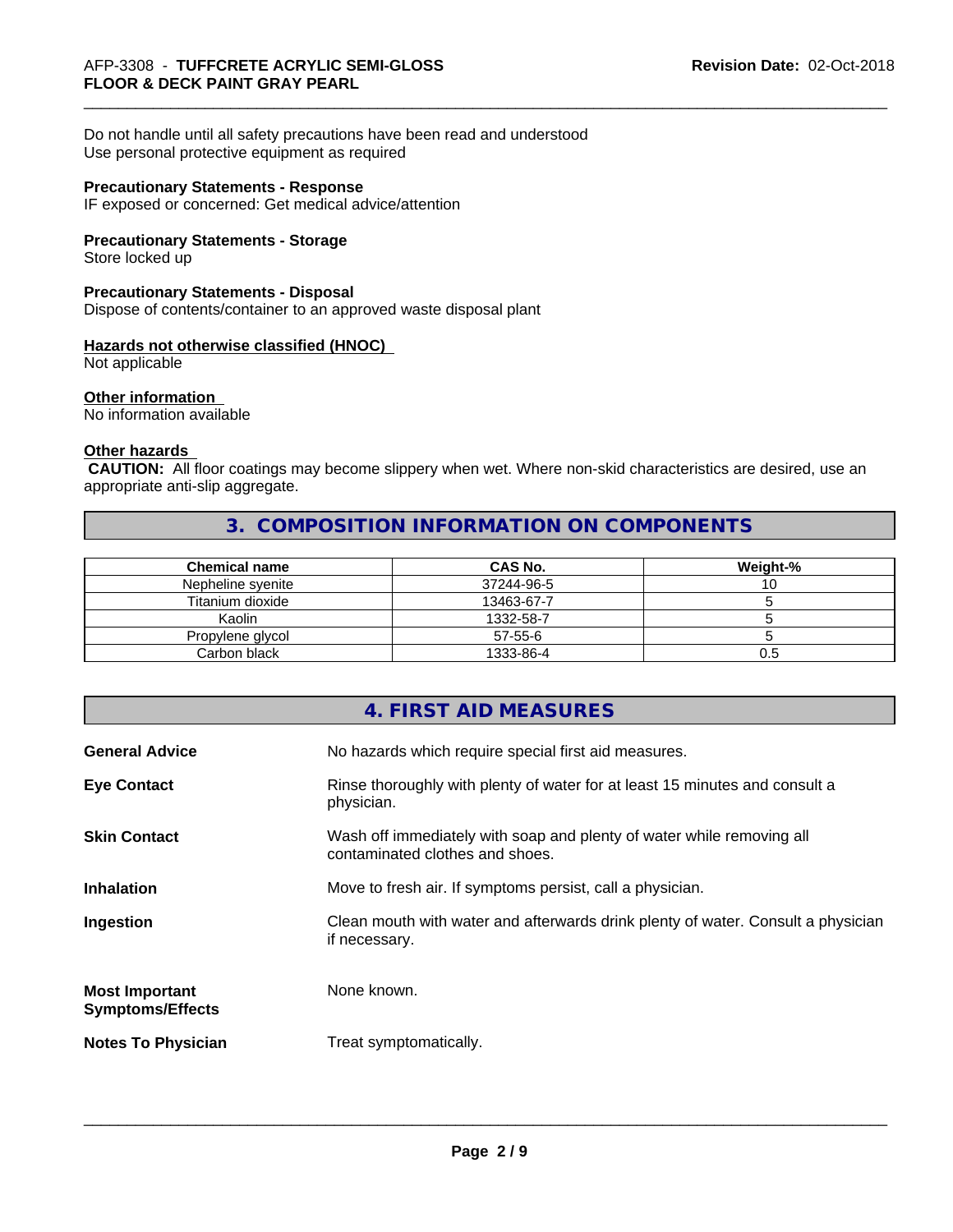Do not handle until all safety precautions have been read and understood Use personal protective equipment as required

#### **Precautionary Statements - Response**

IF exposed or concerned: Get medical advice/attention

#### **Precautionary Statements - Storage**

Store locked up

#### **Precautionary Statements - Disposal**

Dispose of contents/container to an approved waste disposal plant

# **Hazards not otherwise classified (HNOC)**

Not applicable

#### **Other information**

No information available

#### **Other hazards**

 **CAUTION:** All floor coatings may become slippery when wet. Where non-skid characteristics are desired, use an appropriate anti-slip aggregate.

# **3. COMPOSITION INFORMATION ON COMPONENTS**

| <b>Chemical name</b> | <b>CAS No.</b> | Weight-% |
|----------------------|----------------|----------|
| Nepheline svenite    | 37244-96-5     | U        |
| Titanium dioxide     | 13463-67-7     |          |
| Kaolin               | 1332-58-7      |          |
| Propylene glycol     | $57 - 55 - 6$  |          |
| Carbon black         | 1333-86-4      | U.5      |

# **4. FIRST AID MEASURES**

| <b>General Advice</b>                            | No hazards which require special first aid measures.                                                     |
|--------------------------------------------------|----------------------------------------------------------------------------------------------------------|
| <b>Eye Contact</b>                               | Rinse thoroughly with plenty of water for at least 15 minutes and consult a<br>physician.                |
| <b>Skin Contact</b>                              | Wash off immediately with soap and plenty of water while removing all<br>contaminated clothes and shoes. |
| <b>Inhalation</b>                                | Move to fresh air. If symptoms persist, call a physician.                                                |
| Ingestion                                        | Clean mouth with water and afterwards drink plenty of water. Consult a physician<br>if necessary.        |
| <b>Most Important</b><br><b>Symptoms/Effects</b> | None known.                                                                                              |
| <b>Notes To Physician</b>                        | Treat symptomatically.                                                                                   |
|                                                  |                                                                                                          |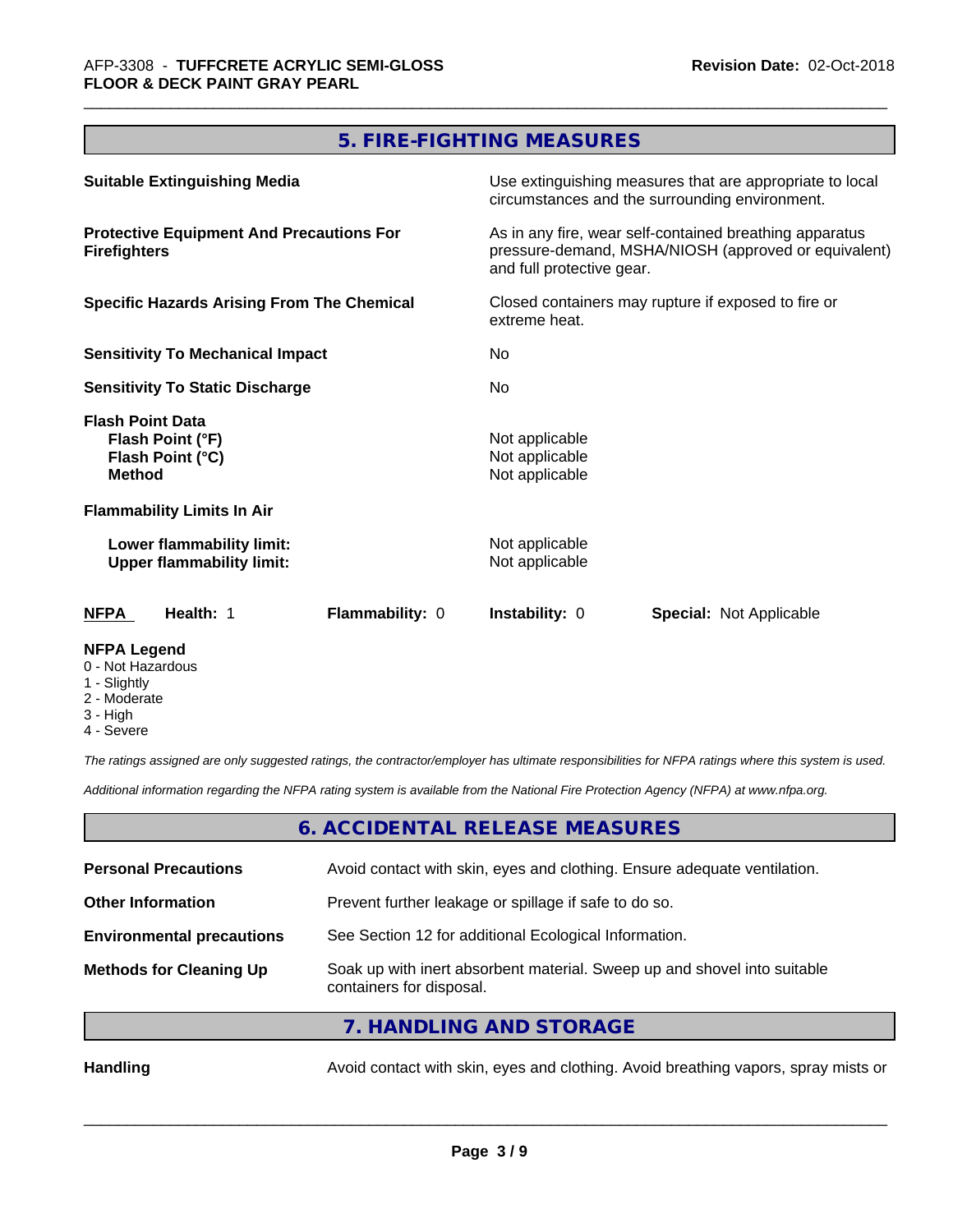# **5. FIRE-FIGHTING MEASURES**

| <b>NFPA Legend</b>                                                               |                                                                                                                                              |  |  |
|----------------------------------------------------------------------------------|----------------------------------------------------------------------------------------------------------------------------------------------|--|--|
| Health: 1<br>Flammability: 0<br>NFPA                                             | <b>Instability: 0</b><br><b>Special: Not Applicable</b>                                                                                      |  |  |
| Lower flammability limit:<br><b>Upper flammability limit:</b>                    | Not applicable<br>Not applicable                                                                                                             |  |  |
| <b>Flammability Limits In Air</b>                                                |                                                                                                                                              |  |  |
| <b>Flash Point Data</b><br>Flash Point (°F)<br>Flash Point (°C)<br><b>Method</b> | Not applicable<br>Not applicable<br>Not applicable                                                                                           |  |  |
| <b>Sensitivity To Static Discharge</b>                                           | No.                                                                                                                                          |  |  |
| <b>Sensitivity To Mechanical Impact</b>                                          | No.                                                                                                                                          |  |  |
| <b>Specific Hazards Arising From The Chemical</b>                                | Closed containers may rupture if exposed to fire or<br>extreme heat.                                                                         |  |  |
| <b>Protective Equipment And Precautions For</b><br><b>Firefighters</b>           | As in any fire, wear self-contained breathing apparatus<br>pressure-demand, MSHA/NIOSH (approved or equivalent)<br>and full protective gear. |  |  |
| <b>Suitable Extinguishing Media</b>                                              | Use extinguishing measures that are appropriate to local<br>circumstances and the surrounding environment.                                   |  |  |

- 0 Not Hazardous
- 1 Slightly
- 2 Moderate
- 3 High
- 4 Severe

*The ratings assigned are only suggested ratings, the contractor/employer has ultimate responsibilities for NFPA ratings where this system is used.*

*Additional information regarding the NFPA rating system is available from the National Fire Protection Agency (NFPA) at www.nfpa.org.*

## **6. ACCIDENTAL RELEASE MEASURES**

| <b>Personal Precautions</b>      | Avoid contact with skin, eyes and clothing. Ensure adequate ventilation.                             |
|----------------------------------|------------------------------------------------------------------------------------------------------|
| <b>Other Information</b>         | Prevent further leakage or spillage if safe to do so.                                                |
| <b>Environmental precautions</b> | See Section 12 for additional Ecological Information.                                                |
| <b>Methods for Cleaning Up</b>   | Soak up with inert absorbent material. Sweep up and shovel into suitable<br>containers for disposal. |
|                                  | $\overline{z}$ is a non-interesting example.                                                         |

**7. HANDLING AND STORAGE**

Handling **Handling** Avoid contact with skin, eyes and clothing. Avoid breathing vapors, spray mists or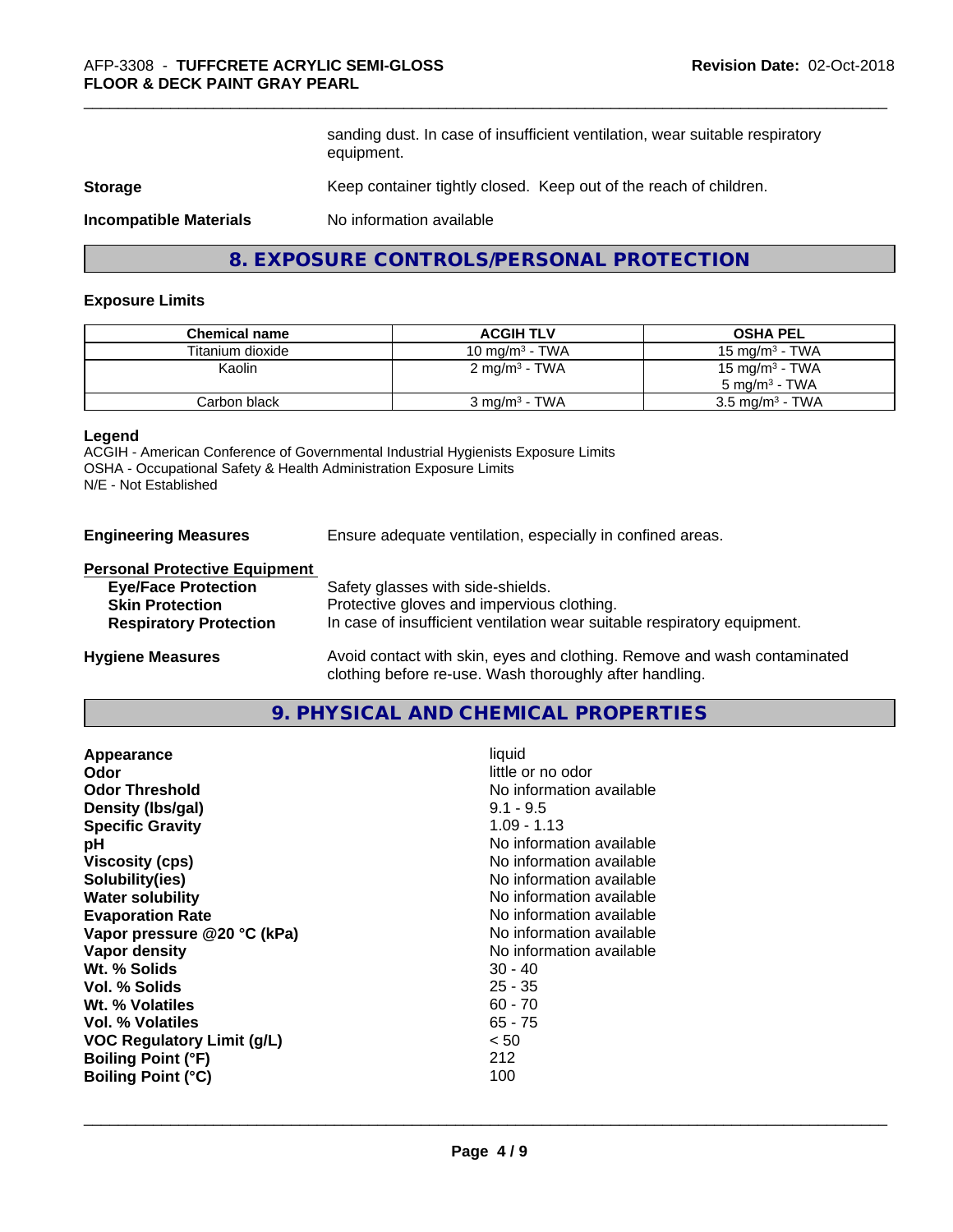sanding dust. In case of insufficient ventilation, wear suitable respiratory equipment.

#### **Storage** Keep container tightly closed. Keep out of the reach of children.

**Incompatible Materials** No information available

# **8. EXPOSURE CONTROLS/PERSONAL PROTECTION**

#### **Exposure Limits**

| <b>Chemical name</b> | <b>ACGIH TLV</b>          | <b>OSHA PEL</b>            |
|----------------------|---------------------------|----------------------------|
| Titanium dioxide     | 10 mg/m $3$ - TWA         | 15 mg/m $3$ - TWA          |
| Kaolin               | 2 mg/m <sup>3</sup> - TWA | 15 mg/m <sup>3</sup> - TWA |
|                      |                           | $5 \text{ ma/m}^3$ - TWA   |
| Carbon black         | $3 \text{ ma/m}^3$ - TWA  | $3.5 \text{ mg/m}^3$ - TWA |

#### **Legend**

ACGIH - American Conference of Governmental Industrial Hygienists Exposure Limits OSHA - Occupational Safety & Health Administration Exposure Limits N/E - Not Established

**Engineering Measures** Ensure adequate ventilation, especially in confined areas.

#### **Personal Protective Equipment**

| <b>Eye/Face Protection</b>    | Safety glasses with side-shields.                                                                                |
|-------------------------------|------------------------------------------------------------------------------------------------------------------|
| <b>Skin Protection</b>        | Protective gloves and impervious clothing.                                                                       |
| <b>Respiratory Protection</b> | In case of insufficient ventilation wear suitable respiratory equipment.                                         |
|                               | As a full decomposition of the component of all the fields. For a component section of the contract of the field |

**Hygiene Measures** Avoid contact with skin, eyes and clothing. Remove and wash contaminated clothing before re-use. Wash thoroughly after handling.

#### **9. PHYSICAL AND CHEMICAL PROPERTIES**

| Odor<br><b>Odor Threshold</b><br>$9.1 - 9.5$<br>Density (Ibs/gal)<br><b>Specific Gravity</b><br>$1.09 - 1.13$<br>рH<br><b>Viscosity (cps)</b><br>Solubility(ies)<br><b>Water solubility</b><br><b>Evaporation Rate</b><br>Vapor pressure @20 °C (kPa)<br>Vapor density<br>Wt. % Solids<br>$30 - 40$<br>Vol. % Solids<br>$25 - 35$<br>$60 - 70$<br>Wt. % Volatiles<br>$65 - 75$<br>Vol. % Volatiles<br><b>VOC Regulatory Limit (g/L)</b><br>< 50<br>212<br><b>Boiling Point (°F)</b><br>100<br><b>Boiling Point (°C)</b> | little or no odor<br>No information available<br>No information available<br>No information available<br>No information available<br>No information available<br>No information available<br>No information available<br>No information available |
|-------------------------------------------------------------------------------------------------------------------------------------------------------------------------------------------------------------------------------------------------------------------------------------------------------------------------------------------------------------------------------------------------------------------------------------------------------------------------------------------------------------------------|---------------------------------------------------------------------------------------------------------------------------------------------------------------------------------------------------------------------------------------------------|
|-------------------------------------------------------------------------------------------------------------------------------------------------------------------------------------------------------------------------------------------------------------------------------------------------------------------------------------------------------------------------------------------------------------------------------------------------------------------------------------------------------------------------|---------------------------------------------------------------------------------------------------------------------------------------------------------------------------------------------------------------------------------------------------|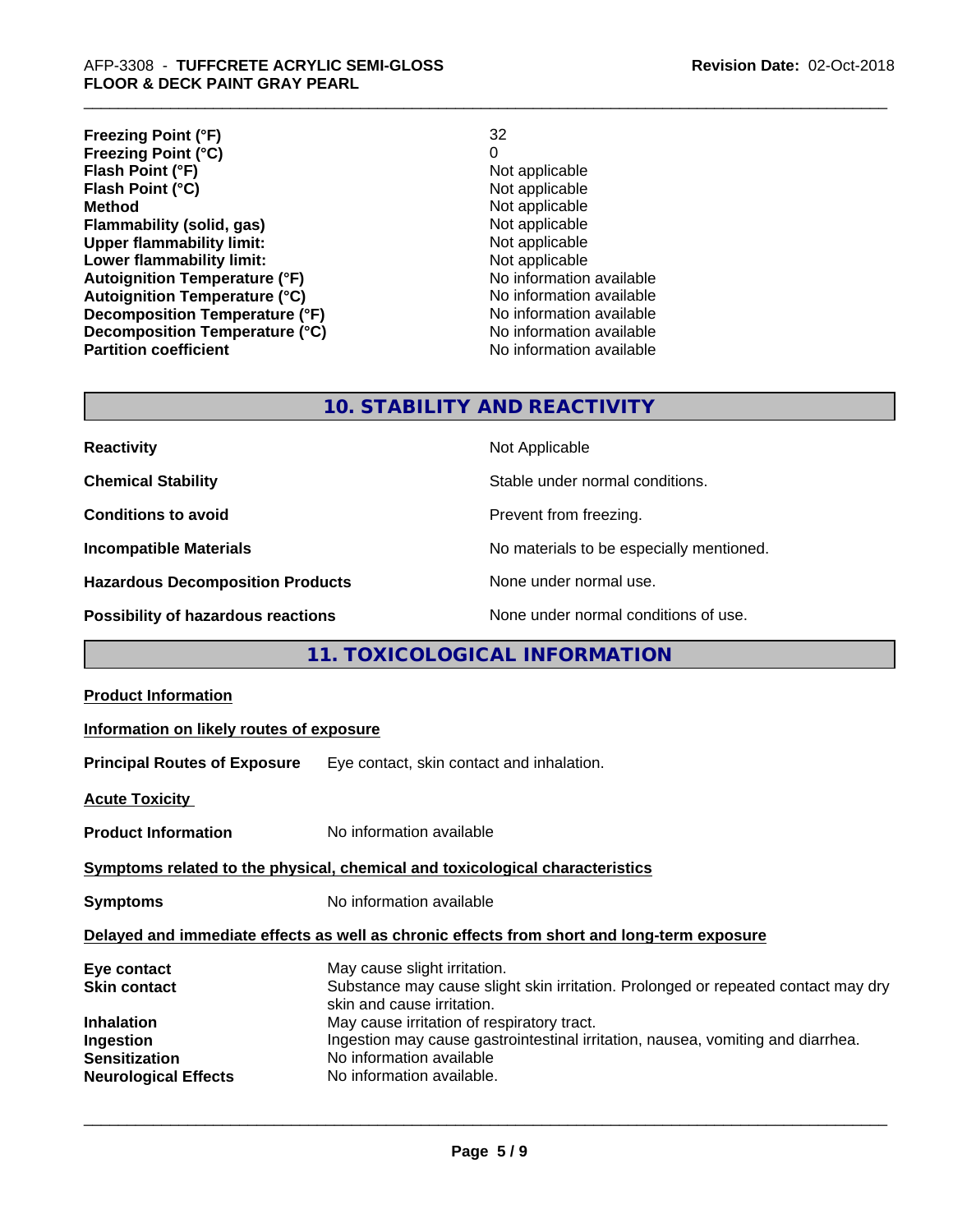**Freezing Point (°F)** 32 **Freezing Point (°C)** 0 **Flash Point (°F)**<br> **Flash Point (°C)**<br> **Flash Point (°C)**<br> **C Flash Point (°C)**<br>Method **Flammability (solid, gas)**<br> **Upper flammability limit:**<br>
Upper flammability limit:<br>  $\begin{array}{ccc}\n\bullet & \bullet & \bullet \\
\bullet & \bullet & \bullet\n\end{array}$  Not applicable **Upper flammability limit:**<br> **Lower flammability limit:**<br>
Not applicable<br>
Not applicable **Lower flammability limit:**<br> **Autoignition Temperature (°F)**<br>
Mo information available **Autoignition Temperature (°F)**<br> **Autoignition Temperature (°C)** 
<br> **Autoignition Temperature (°C)** 
<br> **Autoignition Temperature (°C)** Autoignition Temperature (°C)<br>
Decomposition Temperature (°F)<br>
No information available **Decomposition Temperature (°F) Decomposition Temperature (°C)** No information available **Partition coefficient Contract Contract Contract Contract Contract Contract Contract Contract Contract Contract Contract Contract Contract Contract Contract Contract Contract Contract Contract Contract Contract Contract** 

**Not applicable**<br>Not applicable

# **10. STABILITY AND REACTIVITY**

| <b>Reactivity</b>                       | Not Applicable                           |
|-----------------------------------------|------------------------------------------|
| <b>Chemical Stability</b>               | Stable under normal conditions.          |
| <b>Conditions to avoid</b>              | Prevent from freezing.                   |
| <b>Incompatible Materials</b>           | No materials to be especially mentioned. |
| <b>Hazardous Decomposition Products</b> | None under normal use.                   |
| Possibility of hazardous reactions      | None under normal conditions of use.     |

# **11. TOXICOLOGICAL INFORMATION**

| <b>Product Information</b>                                                                                                  |                                                                                                                                                                                                                                                                                                                                           |
|-----------------------------------------------------------------------------------------------------------------------------|-------------------------------------------------------------------------------------------------------------------------------------------------------------------------------------------------------------------------------------------------------------------------------------------------------------------------------------------|
| Information on likely routes of exposure                                                                                    |                                                                                                                                                                                                                                                                                                                                           |
|                                                                                                                             | <b>Principal Routes of Exposure</b> Eye contact, skin contact and inhalation.                                                                                                                                                                                                                                                             |
| <b>Acute Toxicity</b>                                                                                                       |                                                                                                                                                                                                                                                                                                                                           |
| <b>Product Information</b>                                                                                                  | No information available                                                                                                                                                                                                                                                                                                                  |
|                                                                                                                             | Symptoms related to the physical, chemical and toxicological characteristics                                                                                                                                                                                                                                                              |
| <b>Symptoms</b>                                                                                                             | No information available                                                                                                                                                                                                                                                                                                                  |
|                                                                                                                             | Delayed and immediate effects as well as chronic effects from short and long-term exposure                                                                                                                                                                                                                                                |
| Eye contact<br><b>Skin contact</b><br><b>Inhalation</b><br>Ingestion<br><b>Sensitization</b><br><b>Neurological Effects</b> | May cause slight irritation.<br>Substance may cause slight skin irritation. Prolonged or repeated contact may dry<br>skin and cause irritation.<br>May cause irritation of respiratory tract.<br>Ingestion may cause gastrointestinal irritation, nausea, vomiting and diarrhea.<br>No information available<br>No information available. |
|                                                                                                                             |                                                                                                                                                                                                                                                                                                                                           |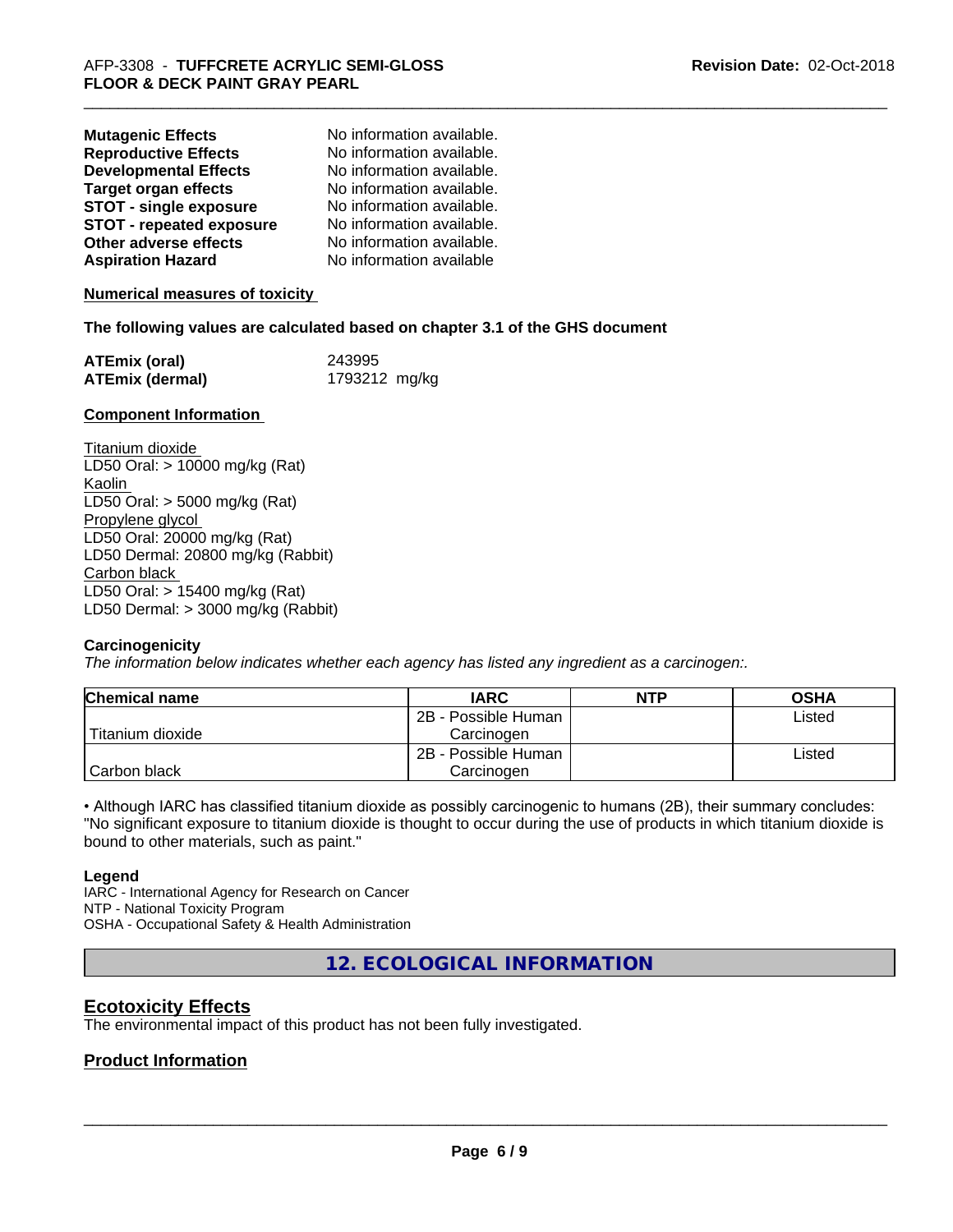| <b>Mutagenic Effects</b>        | No information available. |
|---------------------------------|---------------------------|
| <b>Reproductive Effects</b>     | No information available. |
| <b>Developmental Effects</b>    | No information available. |
| <b>Target organ effects</b>     | No information available. |
| <b>STOT - single exposure</b>   | No information available. |
| <b>STOT - repeated exposure</b> | No information available. |
| Other adverse effects           | No information available. |
| <b>Aspiration Hazard</b>        | No information available  |

**Numerical measures of toxicity**

#### **The following values are calculated based on chapter 3.1 of the GHS document**

| <b>ATEmix (oral)</b>   | 243995        |
|------------------------|---------------|
| <b>ATEmix (dermal)</b> | 1793212 mg/kg |

#### **Component Information**

Titanium dioxide LD50 Oral: > 10000 mg/kg (Rat) Kaolin LD50 Oral: > 5000 mg/kg (Rat) Propylene glycol LD50 Oral: 20000 mg/kg (Rat) LD50 Dermal: 20800 mg/kg (Rabbit) Carbon black LD50 Oral: > 15400 mg/kg (Rat) LD50 Dermal: > 3000 mg/kg (Rabbit)

#### **Carcinogenicity**

*The information below indicateswhether each agency has listed any ingredient as a carcinogen:.*

| <b>Chemical name</b> | <b>IARC</b>         | <b>NTP</b> | <b>OSHA</b> |
|----------------------|---------------------|------------|-------------|
|                      | 2B - Possible Human |            | Listed      |
| Titanium dioxide     | Carcinogen          |            |             |
|                      | 2B - Possible Human |            | Listed      |
| Carbon black         | Carcinogen          |            |             |

• Although IARC has classified titanium dioxide as possibly carcinogenic to humans (2B), their summary concludes: "No significant exposure to titanium dioxide is thought to occur during the use of products in which titanium dioxide is bound to other materials, such as paint."

#### **Legend**

IARC - International Agency for Research on Cancer NTP - National Toxicity Program OSHA - Occupational Safety & Health Administration

**12. ECOLOGICAL INFORMATION**

# **Ecotoxicity Effects**

The environmental impact of this product has not been fully investigated.

## **Product Information**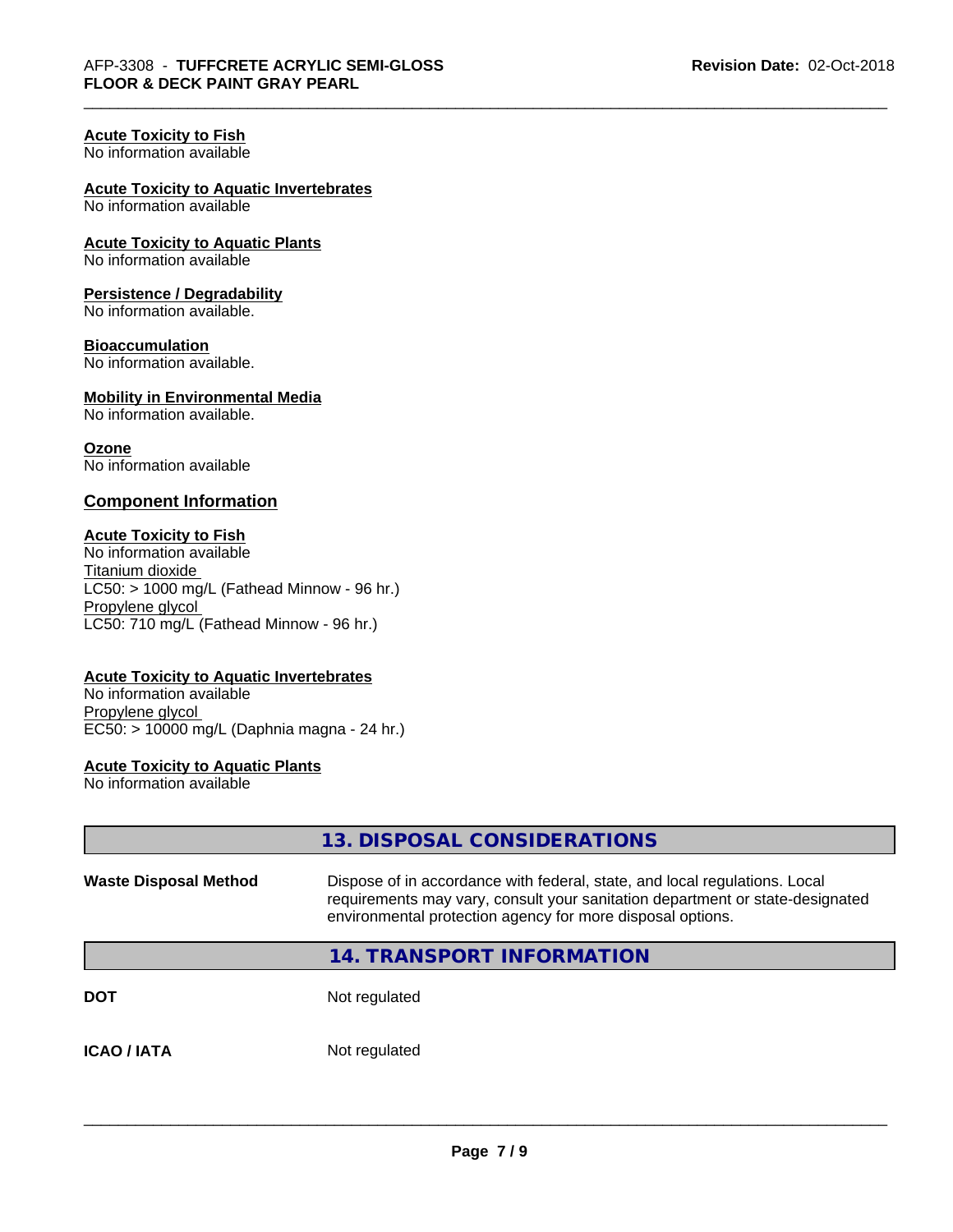#### **Acute Toxicity to Fish**

No information available

#### **Acute Toxicity to Aquatic Invertebrates**

No information available

# **Acute Toxicity to Aquatic Plants**

No information available

#### **Persistence / Degradability**

No information available.

#### **Bioaccumulation**

No information available.

## **Mobility in Environmental Media**

No information available.

#### **Ozone**

No information available

#### **Component Information**

#### **Acute Toxicity to Fish**

No information available Titanium dioxide  $LC50:$  > 1000 mg/L (Fathead Minnow - 96 hr.) Propylene glycol LC50: 710 mg/L (Fathead Minnow - 96 hr.)

#### **Acute Toxicity to Aquatic Invertebrates**

No information available Propylene glycol EC50: > 10000 mg/L (Daphnia magna - 24 hr.)

#### **Acute Toxicity to Aquatic Plants**

No information available

|                                                                                                                                                                                                                                                           | 13. DISPOSAL CONSIDERATIONS      |
|-----------------------------------------------------------------------------------------------------------------------------------------------------------------------------------------------------------------------------------------------------------|----------------------------------|
| Dispose of in accordance with federal, state, and local regulations. Local<br><b>Waste Disposal Method</b><br>requirements may vary, consult your sanitation department or state-designated<br>environmental protection agency for more disposal options. |                                  |
|                                                                                                                                                                                                                                                           | <b>14. TRANSPORT INFORMATION</b> |
| <b>DOT</b>                                                                                                                                                                                                                                                | Not regulated                    |
| <b>ICAO/IATA</b>                                                                                                                                                                                                                                          | Not regulated                    |
|                                                                                                                                                                                                                                                           |                                  |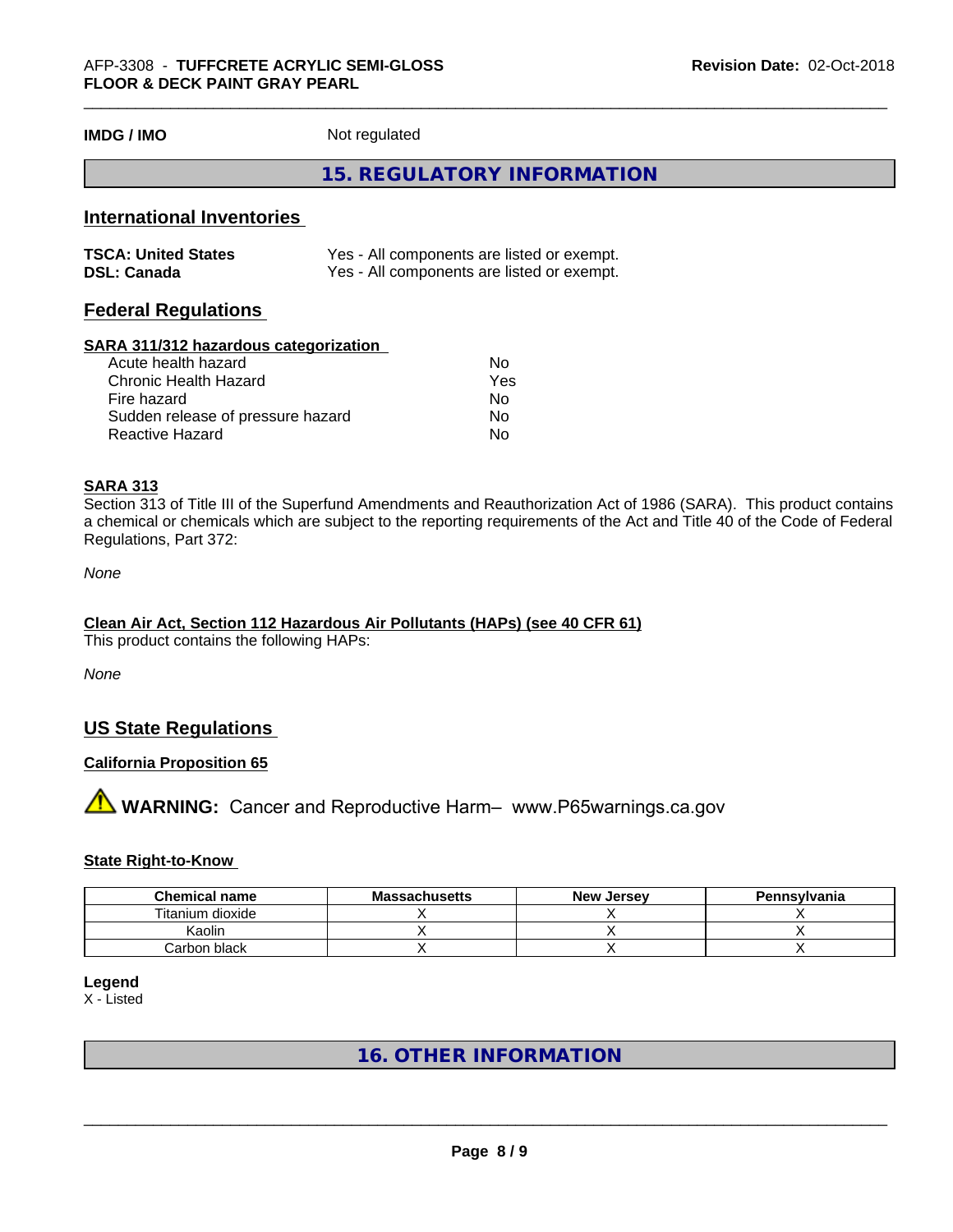**IMDG / IMO** Not regulated

# **15. REGULATORY INFORMATION**

# **International Inventories**

| <b>TSCA: United States</b> | Yes - All components are listed or exempt. |
|----------------------------|--------------------------------------------|
| <b>DSL: Canada</b>         | Yes - All components are listed or exempt. |

# **Federal Regulations**

#### **SARA 311/312 hazardous categorization**

| Acute health hazard               | No. |
|-----------------------------------|-----|
| Chronic Health Hazard             | Yes |
| Fire hazard                       | N٥  |
| Sudden release of pressure hazard | Nο  |
| Reactive Hazard                   | N٥  |

## **SARA 313**

Section 313 of Title III of the Superfund Amendments and Reauthorization Act of 1986 (SARA). This product contains a chemical or chemicals which are subject to the reporting requirements of the Act and Title 40 of the Code of Federal Regulations, Part 372:

*None*

#### **Clean Air Act,Section 112 Hazardous Air Pollutants (HAPs) (see 40 CFR 61)**

This product contains the following HAPs:

*None*

# **US State Regulations**

#### **California Proposition 65**

# **AVIMARNING:** Cancer and Reproductive Harm– www.P65warnings.ca.gov

#### **State Right-to-Know**

| <b>Chemical name</b> | <b>Massachusetts</b> | <b>New Jersey</b> | Pennsylvania |
|----------------------|----------------------|-------------------|--------------|
| Titanium dioxide     |                      |                   |              |
| Kaolir               |                      |                   |              |
| Carbon black         |                      |                   |              |

## **Legend**

X - Listed

# **16. OTHER INFORMATION**